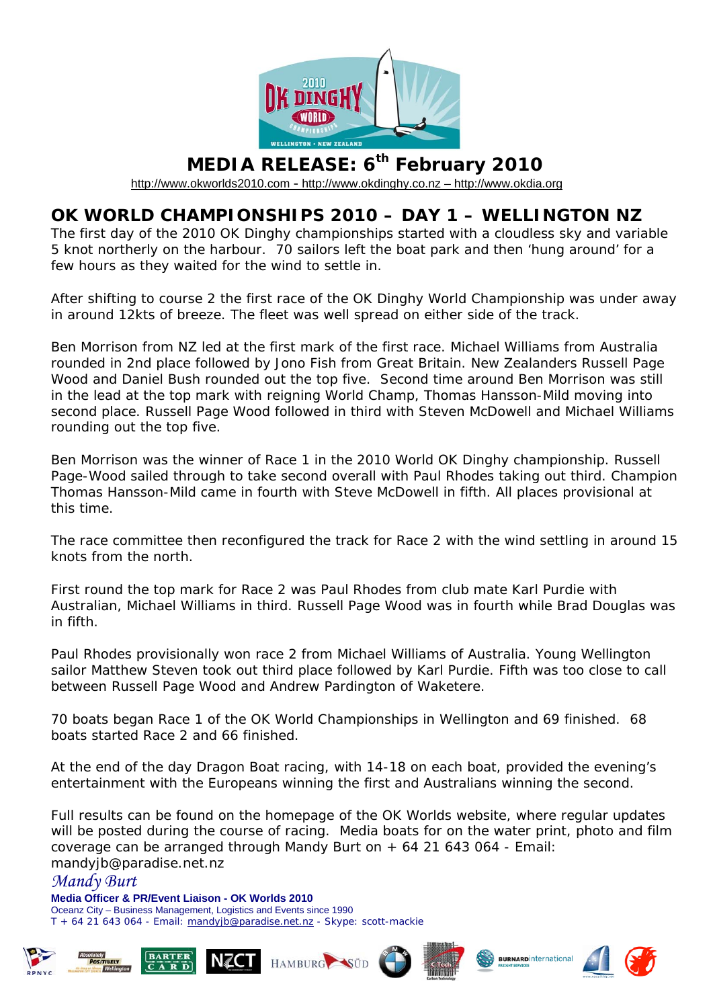

## **MEDIA RELEASE: 6th February 2010**

[http://www.okworlds2010.com](http://www.okworlds2010.com/) - [http://www.okdinghy.co.nz](http://www.okdinghy.co.nz/) – http://www.okdia.org

## **OK WORLD CHAMPIONSHIPS 2010 – DAY 1 – WELLINGTON NZ**

The first day of the 2010 OK Dinghy championships started with a cloudless sky and variable 5 knot northerly on the harbour. 70 sailors left the boat park and then 'hung around' for a few hours as they waited for the wind to settle in.

After shifting to course 2 the first race of the OK Dinghy World Championship was under away in around 12kts of breeze. The fleet was well spread on either side of the track.

Ben Morrison from NZ led at the first mark of the first race. Michael Williams from Australia rounded in 2nd place followed by Jono Fish from Great Britain. New Zealanders Russell Page Wood and Daniel Bush rounded out the top five. Second time around Ben Morrison was still in the lead at the top mark with reigning World Champ, Thomas Hansson-Mild moving into second place. Russell Page Wood followed in third with Steven McDowell and Michael Williams rounding out the top five.

Ben Morrison was the winner of Race 1 in the 2010 World OK Dinghy championship. Russell Page-Wood sailed through to take second overall with Paul Rhodes taking out third. Champion Thomas Hansson-Mild came in fourth with Steve McDowell in fifth. All places provisional at this time.

The race committee then reconfigured the track for Race 2 with the wind settling in around 15 knots from the north.

First round the top mark for Race 2 was Paul Rhodes from club mate Karl Purdie with Australian, Michael Williams in third. Russell Page Wood was in fourth while Brad Douglas was in fifth.

Paul Rhodes provisionally won race 2 from Michael Williams of Australia. Young Wellington sailor Matthew Steven took out third place followed by Karl Purdie. Fifth was too close to call between Russell Page Wood and Andrew Pardington of Waketere.

70 boats began Race 1 of the OK World Championships in Wellington and 69 finished. 68 boats started Race 2 and 66 finished.

At the end of the day Dragon Boat racing, with 14-18 on each boat, provided the evening's entertainment with the Europeans winning the first and Australians winning the second.

Full results can be found on the homepage of the OK Worlds website, where regular updates will be posted during the course of racing. Media boats for on the water print, photo and film coverage can be arranged through Mandy Burt on + 64 21 643 064 - Email: mandyjb@paradise.net.nz











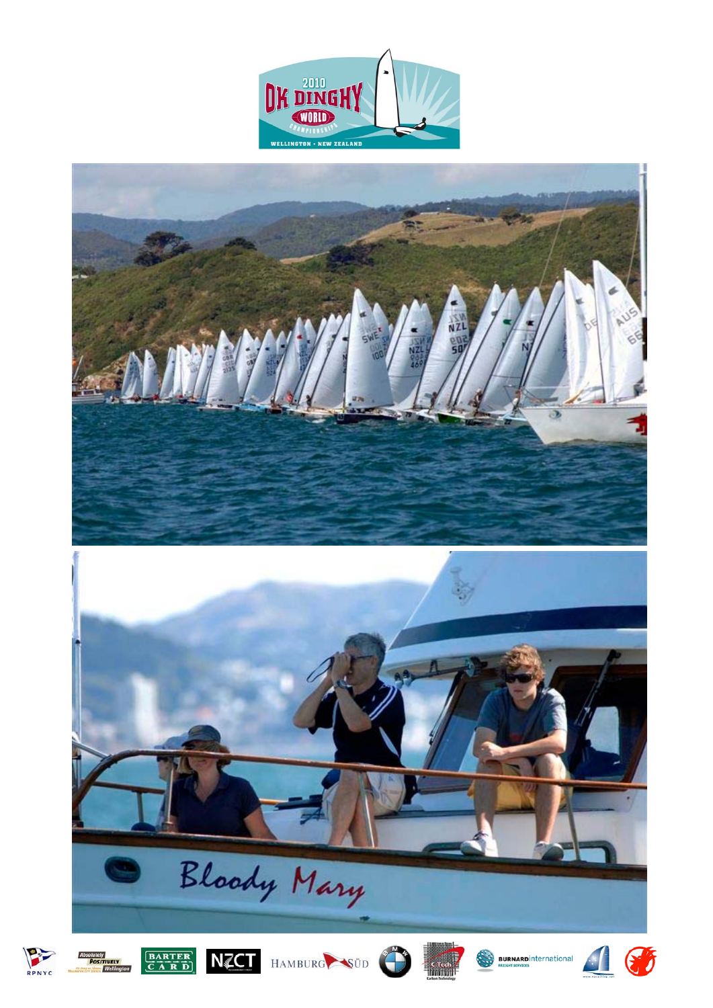





POSITIVELY